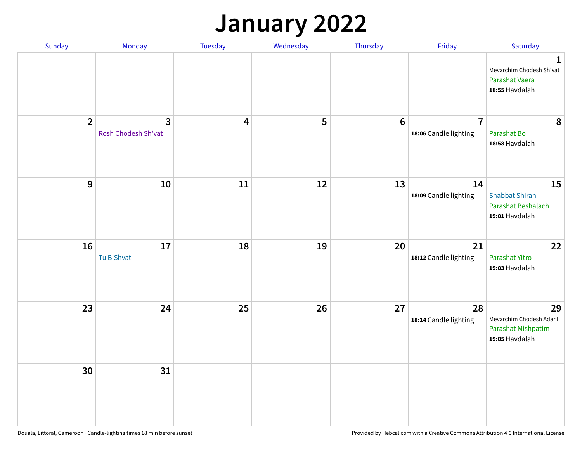## **January 2022**

| Sunday         | Monday                                         | Tuesday                 | Wednesday | Thursday        | Friday                                  | Saturday                                                                     |
|----------------|------------------------------------------------|-------------------------|-----------|-----------------|-----------------------------------------|------------------------------------------------------------------------------|
|                |                                                |                         |           |                 |                                         | $\mathbf{1}$<br>Mevarchim Chodesh Sh'vat<br>Parashat Vaera<br>18:55 Havdalah |
| $\overline{2}$ | $\overline{\mathbf{3}}$<br>Rosh Chodesh Sh'vat | $\overline{\mathbf{4}}$ | 5         | $6\phantom{1}6$ | $\overline{7}$<br>18:06 Candle lighting | 8<br>Parashat Bo<br>18:58 Havdalah                                           |
| $\mathbf 9$    | 10                                             | ${\bf 11}$              | 12        | 13              | 14<br>18:09 Candle lighting             | 15<br><b>Shabbat Shirah</b><br>Parashat Beshalach<br>19:01 Havdalah          |
| 16             | 17<br>Tu BiShvat                               | 18                      | 19        | 20              | 21<br>18:12 Candle lighting             | 22<br>Parashat Yitro<br>19:03 Havdalah                                       |
| 23             | 24                                             | 25                      | 26        | 27              | 28<br>18:14 Candle lighting             | 29<br>Mevarchim Chodesh Adar I<br>Parashat Mishpatim<br>19:05 Havdalah       |
| 30             | 31                                             |                         |           |                 |                                         |                                                                              |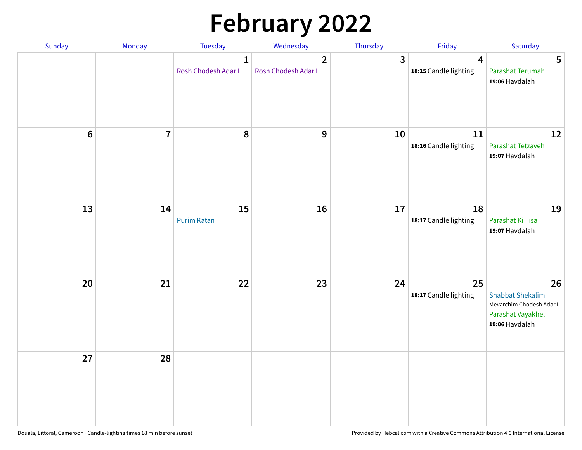# **February 2022**

| Sunday | Monday         | Tuesday                             | Wednesday                             | Thursday                | Friday                                           | Saturday                                                                                          |
|--------|----------------|-------------------------------------|---------------------------------------|-------------------------|--------------------------------------------------|---------------------------------------------------------------------------------------------------|
|        |                | $\mathbf{1}$<br>Rosh Chodesh Adar I | $\overline{2}$<br>Rosh Chodesh Adar I | $\overline{\mathbf{3}}$ | $\overline{\mathbf{4}}$<br>18:15 Candle lighting | 5<br>Parashat Terumah<br>19:06 Havdalah                                                           |
| $6\,$  | $\overline{7}$ | 8                                   | 9                                     | 10                      | ${\bf 11}$<br>18:16 Candle lighting              | 12<br>Parashat Tetzaveh<br>19:07 Havdalah                                                         |
| 13     | 14             | 15<br><b>Purim Katan</b>            | 16                                    | 17                      | 18<br>18:17 Candle lighting                      | 19<br>Parashat Ki Tisa<br>19:07 Havdalah                                                          |
| 20     | 21             | 22                                  | 23                                    | 24                      | 25<br>18:17 Candle lighting                      | 26<br><b>Shabbat Shekalim</b><br>Mevarchim Chodesh Adar II<br>Parashat Vayakhel<br>19:06 Havdalah |
| 27     | 28             |                                     |                                       |                         |                                                  |                                                                                                   |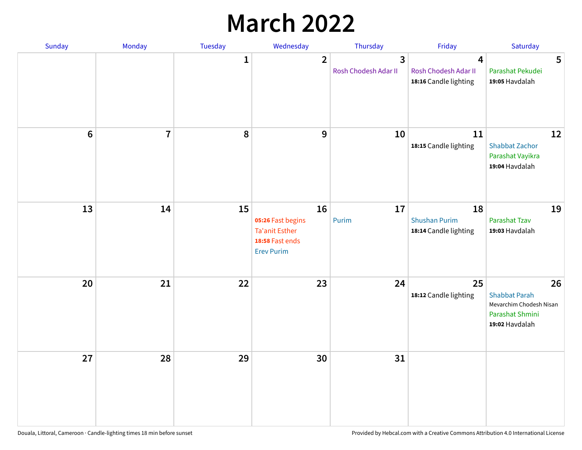## **March 2022**

| Sunday  | <b>Monday</b>  | <b>Tuesday</b> | Wednesday                                                                         | Thursday                                        | Friday                                              | Saturday                                                                                   |
|---------|----------------|----------------|-----------------------------------------------------------------------------------|-------------------------------------------------|-----------------------------------------------------|--------------------------------------------------------------------------------------------|
|         |                | $\mathbf{1}$   | $\overline{2}$                                                                    | $\overline{\mathbf{3}}$<br>Rosh Chodesh Adar II | 4<br>Rosh Chodesh Adar II<br>18:16 Candle lighting  | 5<br>Parashat Pekudei<br>19:05 Havdalah                                                    |
| $\bf 6$ | $\overline{7}$ | 8              | 9                                                                                 | 10                                              | 11<br>18:15 Candle lighting                         | 12<br><b>Shabbat Zachor</b><br>Parashat Vayikra<br>19:04 Havdalah                          |
| 13      | 14             | 15             | 16<br>05:26 Fast begins<br>Ta'anit Esther<br>18:58 Fast ends<br><b>Erev Purim</b> | 17<br>Purim                                     | 18<br><b>Shushan Purim</b><br>18:14 Candle lighting | 19<br>Parashat Tzav<br>19:03 Havdalah                                                      |
| 20      | 21             | 22             | 23                                                                                | 24                                              | 25<br>18:12 Candle lighting                         | 26<br><b>Shabbat Parah</b><br>Mevarchim Chodesh Nisan<br>Parashat Shmini<br>19:02 Havdalah |
| 27      | 28             | 29             | 30                                                                                | 31                                              |                                                     |                                                                                            |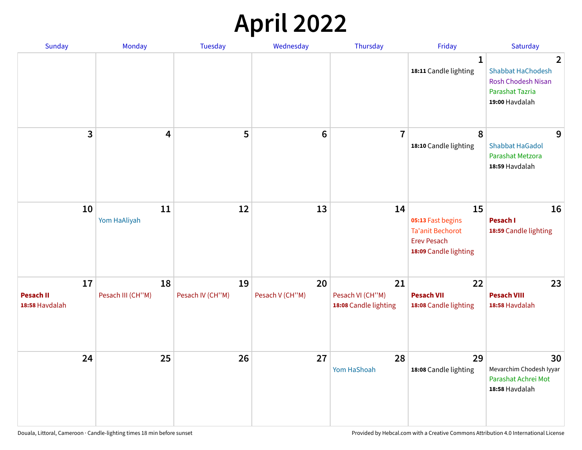## **April 2022**

| Sunday                                   | Monday                  | <b>Tuesday</b>         | Wednesday             | Thursday                                        | Friday                                                                                            | Saturday                                                                                                            |
|------------------------------------------|-------------------------|------------------------|-----------------------|-------------------------------------------------|---------------------------------------------------------------------------------------------------|---------------------------------------------------------------------------------------------------------------------|
|                                          |                         |                        |                       |                                                 | $\mathbf 1$<br>18:11 Candle lighting                                                              | $\overline{2}$<br><b>Shabbat HaChodesh</b><br><b>Rosh Chodesh Nisan</b><br><b>Parashat Tazria</b><br>19:00 Havdalah |
| 3                                        | $\overline{\mathbf{4}}$ | 5                      | $6\phantom{1}6$       | $\overline{7}$                                  | 8<br>18:10 Candle lighting                                                                        | 9<br><b>Shabbat HaGadol</b><br>Parashat Metzora<br>18:59 Havdalah                                                   |
| 10                                       | 11<br>Yom HaAliyah      | 12                     | 13                    | 14                                              | 15<br>05:13 Fast begins<br><b>Ta'anit Bechorot</b><br><b>Erev Pesach</b><br>18:09 Candle lighting | 16<br>Pesach I<br>18:59 Candle lighting                                                                             |
| 17<br><b>Pesach II</b><br>18:58 Havdalah | 18<br>Pesach III (CH"M) | 19<br>Pesach IV (CH"M) | 20<br>Pesach V (CH"M) | 21<br>Pesach VI (CH"M)<br>18:08 Candle lighting | 22<br><b>Pesach VII</b><br>18:08 Candle lighting                                                  | 23<br><b>Pesach VIII</b><br>18:58 Havdalah                                                                          |
| 24                                       | 25                      | 26                     | 27                    | 28<br>Yom HaShoah                               | 29<br>18:08 Candle lighting                                                                       | 30<br>Mevarchim Chodesh Iyyar<br>Parashat Achrei Mot<br>18:58 Havdalah                                              |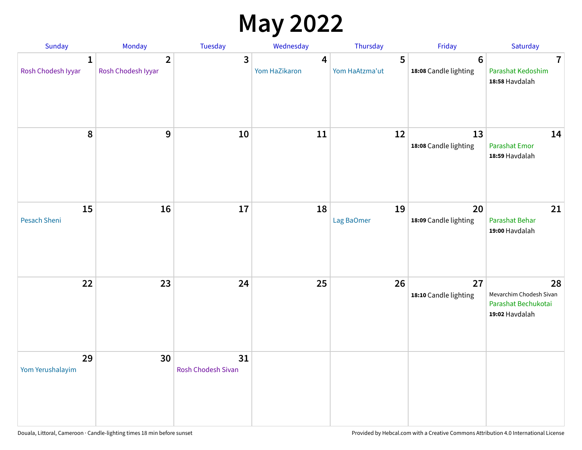## **May 2022**

| <b>Sunday</b>                      | Monday                               | Tuesday                         | Wednesday          | Thursday            | Friday                                   | Saturday                                                               |
|------------------------------------|--------------------------------------|---------------------------------|--------------------|---------------------|------------------------------------------|------------------------------------------------------------------------|
| $\mathbf{1}$<br>Rosh Chodesh Iyyar | $\overline{2}$<br>Rosh Chodesh Iyyar | 3                               | 4<br>Yom HaZikaron | 5<br>Yom HaAtzma'ut | $6\phantom{1}6$<br>18:08 Candle lighting | $\overline{7}$<br>Parashat Kedoshim<br>18:58 Havdalah                  |
| $\pmb{8}$                          | $\mathbf{9}$                         | 10                              | 11                 | 12                  | 13<br>18:08 Candle lighting              | 14<br><b>Parashat Emor</b><br>18:59 Havdalah                           |
| 15<br>Pesach Sheni                 | 16                                   | 17                              | 18                 | 19<br>Lag BaOmer    | 20<br>18:09 Candle lighting              | 21<br>Parashat Behar<br>19:00 Havdalah                                 |
| 22                                 | 23                                   | 24                              | 25                 | 26                  | 27<br>18:10 Candle lighting              | 28<br>Mevarchim Chodesh Sivan<br>Parashat Bechukotai<br>19:02 Havdalah |
| 29<br>Yom Yerushalayim             | 30                                   | 31<br><b>Rosh Chodesh Sivan</b> |                    |                     |                                          |                                                                        |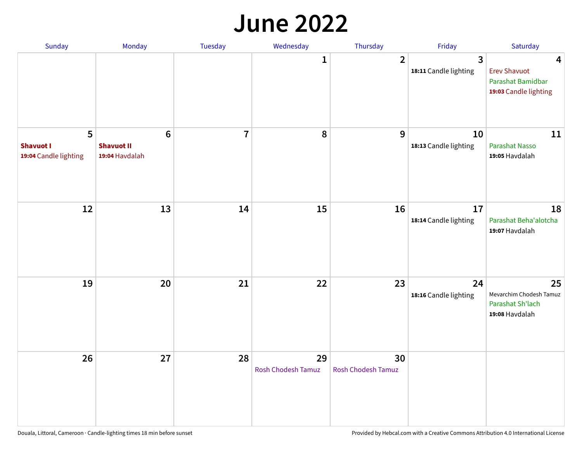#### **June 2022**

| Sunday                                         | Monday                                         | Tuesday        | Wednesday                       | Thursday                 | Friday                      | Saturday                                                                                     |
|------------------------------------------------|------------------------------------------------|----------------|---------------------------------|--------------------------|-----------------------------|----------------------------------------------------------------------------------------------|
|                                                |                                                |                | 1                               | $\overline{2}$           | 3<br>18:11 Candle lighting  | $\overline{\mathbf{4}}$<br><b>Erev Shavuot</b><br>Parashat Bamidbar<br>19:03 Candle lighting |
| 5<br><b>Shavuot I</b><br>19:04 Candle lighting | $\bf 6$<br><b>Shavuot II</b><br>19:04 Havdalah | $\overline{7}$ | 8                               | 9                        | 10<br>18:13 Candle lighting | 11<br>Parashat Nasso<br>19:05 Havdalah                                                       |
| 12                                             | 13                                             | 14             | 15                              | 16                       | 17<br>18:14 Candle lighting | 18<br>Parashat Beha'alotcha<br>19:07 Havdalah                                                |
| 19                                             | 20                                             | 21             | 22                              | 23                       | 24<br>18:16 Candle lighting | 25<br>Mevarchim Chodesh Tamuz<br>Parashat Sh'lach<br>19:08 Havdalah                          |
| 26                                             | 27                                             | 28             | 29<br><b>Rosh Chodesh Tamuz</b> | 30<br>Rosh Chodesh Tamuz |                             |                                                                                              |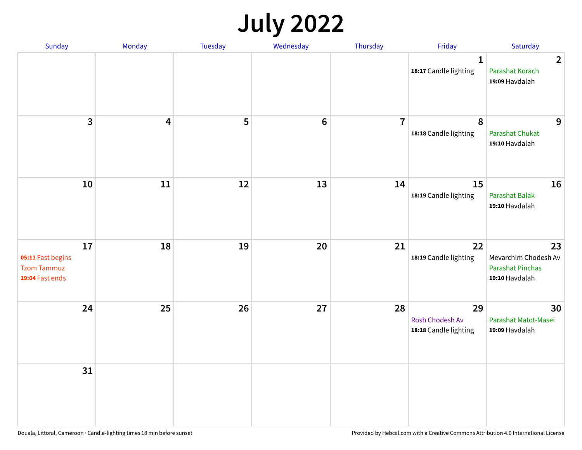## **July 2022**

| Sunday                                                           | Monday                  | Tuesday | Wednesday | Thursday       | Friday                                         | Saturday                                                                |
|------------------------------------------------------------------|-------------------------|---------|-----------|----------------|------------------------------------------------|-------------------------------------------------------------------------|
|                                                                  |                         |         |           |                | $\mathbf{1}$<br>18:17 Candle lighting          | $\overline{2}$<br>Parashat Korach<br>19:09 Havdalah                     |
| $\mathbf{3}$                                                     | $\overline{\mathbf{4}}$ | 5       | $\bf 6$   | $\overline{7}$ | 8<br>18:18 Candle lighting                     | 9<br>Parashat Chukat<br>19:10 Havdalah                                  |
| 10                                                               | 11                      | 12      | 13        | 14             | 15<br>18:19 Candle lighting                    | 16<br>Parashat Balak<br>19:10 Havdalah                                  |
| 17<br>05:11 Fast begins<br><b>Tzom Tammuz</b><br>19:04 Fast ends | 18                      | 19      | 20        | 21             | 22<br>18:19 Candle lighting                    | 23<br>Mevarchim Chodesh Av<br><b>Parashat Pinchas</b><br>19:10 Havdalah |
| 24                                                               | 25                      | 26      | 27        | 28             | 29<br>Rosh Chodesh Av<br>18:18 Candle lighting | 30<br>Parashat Matot-Masei<br>19:09 Havdalah                            |
| 31                                                               |                         |         |           |                |                                                |                                                                         |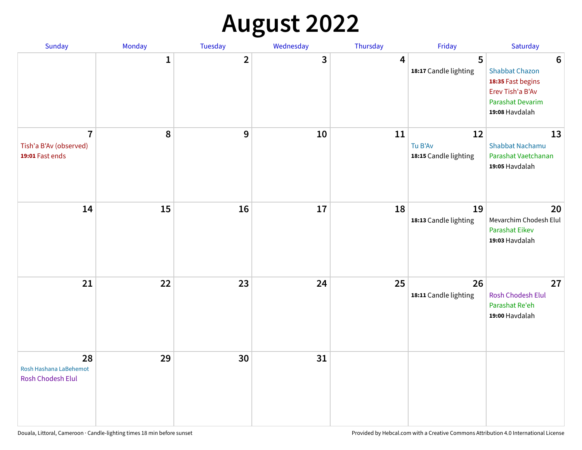## **August 2022**

| Sunday                                                      | Monday       | Tuesday        | Wednesday | Thursday | Friday                                 | Saturday                                                                                                                       |
|-------------------------------------------------------------|--------------|----------------|-----------|----------|----------------------------------------|--------------------------------------------------------------------------------------------------------------------------------|
|                                                             | $\mathbf{1}$ | $\overline{2}$ | 3         | 4        | 5<br>18:17 Candle lighting             | $6\phantom{1}6$<br><b>Shabbat Chazon</b><br>18:35 Fast begins<br>Erev Tish'a B'Av<br><b>Parashat Devarim</b><br>19:08 Havdalah |
| $\overline{7}$<br>Tish'a B'Av (observed)<br>19:01 Fast ends | 8            | 9              | 10        | 11       | 12<br>Tu B'Av<br>18:15 Candle lighting | 13<br><b>Shabbat Nachamu</b><br>Parashat Vaetchanan<br>19:05 Havdalah                                                          |
| 14                                                          | 15           | 16             | 17        | 18       | 19<br>18:13 Candle lighting            | 20<br>Mevarchim Chodesh Elul<br>Parashat Eikev<br>19:03 Havdalah                                                               |
| 21                                                          | 22           | 23             | 24        | 25       | 26<br>18:11 Candle lighting            | 27<br>Rosh Chodesh Elul<br>Parashat Re'eh<br>19:00 Havdalah                                                                    |
| 28<br>Rosh Hashana LaBehemot<br>Rosh Chodesh Elul           | 29           | 30             | 31        |          |                                        |                                                                                                                                |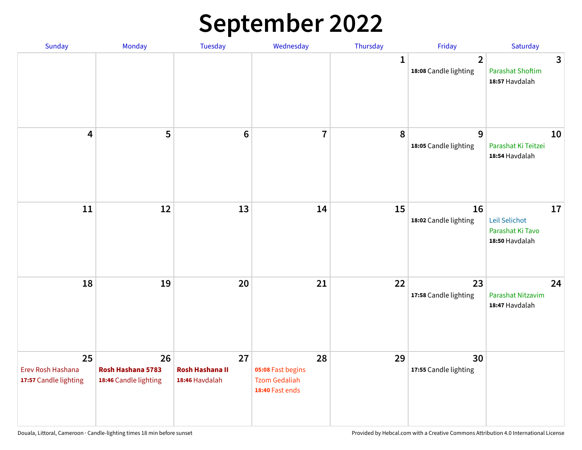## **September 2022**

| Sunday                                           | Monday                                           | Tuesday                                        | Wednesday                                                          | Thursday     | Friday                                  | Saturday                                                  |
|--------------------------------------------------|--------------------------------------------------|------------------------------------------------|--------------------------------------------------------------------|--------------|-----------------------------------------|-----------------------------------------------------------|
|                                                  |                                                  |                                                |                                                                    | $\mathbf{1}$ | $\overline{2}$<br>18:08 Candle lighting | 3<br><b>Parashat Shoftim</b><br>18:57 Havdalah            |
| $\overline{\mathbf{4}}$                          | 5                                                | $6\phantom{1}6$                                | $\overline{7}$                                                     | 8            | 9<br>18:05 Candle lighting              | 10<br>Parashat Ki Teitzei<br>18:54 Havdalah               |
| $11\,$                                           | 12                                               | 13                                             | 14                                                                 | 15           | 16<br>18:02 Candle lighting             | 17<br>Leil Selichot<br>Parashat Ki Tavo<br>18:50 Havdalah |
| 18                                               | 19                                               | 20                                             | 21                                                                 | 22           | 23<br>17:58 Candle lighting             | 24<br>Parashat Nitzavim<br>18:47 Havdalah                 |
| 25<br>Erev Rosh Hashana<br>17:57 Candle lighting | 26<br>Rosh Hashana 5783<br>18:46 Candle lighting | 27<br><b>Rosh Hashana II</b><br>18:46 Havdalah | 28<br>05:08 Fast begins<br><b>Tzom Gedaliah</b><br>18:40 Fast ends | 29           | 30<br>17:55 Candle lighting             |                                                           |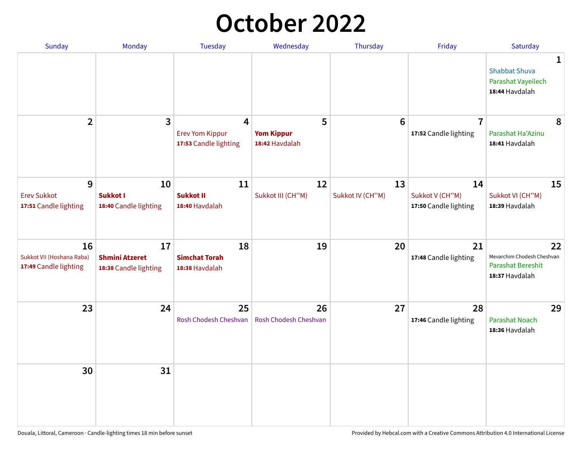## **October 2022**

| <b>Sunday</b>                                            | <b>Monday</b>                                        | <b>Tuesday</b>                                                    | Wednesday                                | Thursday               | Friday                                         | Saturday                                                                       |
|----------------------------------------------------------|------------------------------------------------------|-------------------------------------------------------------------|------------------------------------------|------------------------|------------------------------------------------|--------------------------------------------------------------------------------|
|                                                          |                                                      |                                                                   |                                          |                        |                                                | 1<br><b>Shabbat Shuva</b><br>Parashat Vayeilech<br>18:44 Havdalah              |
| $\overline{2}$                                           | $\overline{\mathbf{3}}$                              | $\overline{4}$<br><b>Erev Yom Kippur</b><br>17:53 Candle lighting | 5<br><b>Yom Kippur</b><br>18:42 Havdalah | 6                      | $\overline{7}$<br>17:52 Candle lighting        | 8<br>Parashat Ha'Azinu<br>18:41 Havdalah                                       |
| 9<br><b>Erev Sukkot</b><br>17:51 Candle lighting         | 10<br><b>Sukkot I</b><br>18:40 Candle lighting       | 11<br><b>Sukkot II</b><br>18:40 Havdalah                          | 12<br>Sukkot III (CH"M)                  | 13<br>Sukkot IV (CH"M) | 14<br>Sukkot V (CH"M)<br>17:50 Candle lighting | 15<br>Sukkot VI (CH"M)<br>18:39 Havdalah                                       |
| 16<br>Sukkot VII (Hoshana Raba)<br>17:49 Candle lighting | 17<br><b>Shmini Atzeret</b><br>18:38 Candle lighting | 18<br><b>Simchat Torah</b><br>18:38 Havdalah                      | 19                                       | 20                     | 21<br>17:48 Candle lighting                    | 22<br>Mevarchim Chodesh Cheshvan<br><b>Parashat Bereshit</b><br>18:37 Havdalah |
| 23                                                       | 24                                                   | 25<br>Rosh Chodesh Cheshvan                                       | 26<br>Rosh Chodesh Cheshvan              | 27                     | 28<br>17:46 Candle lighting                    | 29<br><b>Parashat Noach</b><br>18:36 Havdalah                                  |
| 30                                                       | 31                                                   |                                                                   |                                          |                        |                                                |                                                                                |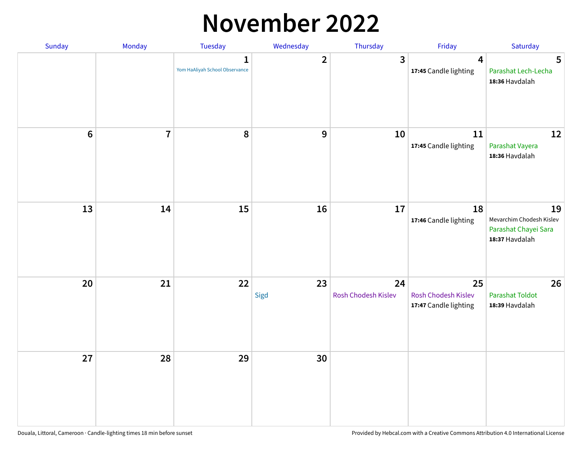### **November 2022**

| Sunday         | Monday         | Tuesday                             | Wednesday               | Thursday                  | Friday                                             | Saturday                                                                 |
|----------------|----------------|-------------------------------------|-------------------------|---------------------------|----------------------------------------------------|--------------------------------------------------------------------------|
|                |                | 1<br>Yom HaAliyah School Observance | $\overline{\mathbf{2}}$ | $\mathbf{3}$              | $\overline{\mathbf{4}}$<br>17:45 Candle lighting   | 5<br>Parashat Lech-Lecha<br>18:36 Havdalah                               |
| $6\phantom{1}$ | $\overline{7}$ | 8                                   | $\boldsymbol{9}$        | 10                        | 11<br>17:45 Candle lighting                        | 12<br>Parashat Vayera<br>18:36 Havdalah                                  |
| 13             | 14             | 15                                  | 16                      | 17                        | 18<br>17:46 Candle lighting                        | 19<br>Mevarchim Chodesh Kislev<br>Parashat Chayei Sara<br>18:37 Havdalah |
| 20             | 21             | 22                                  | 23<br>Sigd              | 24<br>Rosh Chodesh Kislev | 25<br>Rosh Chodesh Kislev<br>17:47 Candle lighting | 26<br><b>Parashat Toldot</b><br>18:39 Havdalah                           |
| 27             | 28             | 29                                  | 30                      |                           |                                                    |                                                                          |